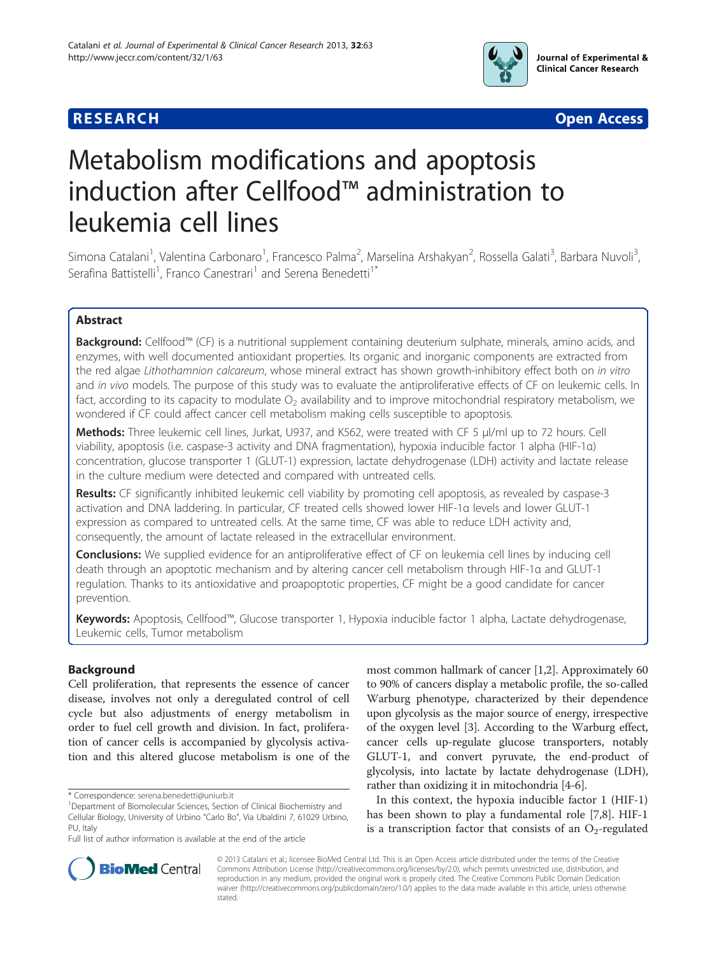

**RESEARCH CHEAR CHEAR CHEAR CHEAR CHEAR CHEAR CHEAR CHEAR CHEAR CHEAR CHEAR CHEAR CHEAR CHEAR CHEAR CHEAR CHEAR** 

# Metabolism modifications and apoptosis induction after Cellfood™ administration to leukemia cell lines

Simona Catalani<sup>1</sup>, Valentina Carbonaro<sup>1</sup>, Francesco Palma<sup>2</sup>, Marselina Arshakyan<sup>2</sup>, Rossella Galati<sup>3</sup>, Barbara Nuvoli<sup>3</sup> , Serafina Battistelli<sup>1</sup>, Franco Canestrari<sup>1</sup> and Serena Benedetti<sup>1\*</sup>

# Abstract

Background: Cellfood™ (CF) is a nutritional supplement containing deuterium sulphate, minerals, amino acids, and enzymes, with well documented antioxidant properties. Its organic and inorganic components are extracted from the red algae Lithothamnion calcareum, whose mineral extract has shown growth-inhibitory effect both on in vitro and in vivo models. The purpose of this study was to evaluate the antiproliferative effects of CF on leukemic cells. In fact, according to its capacity to modulate  $O_2$  availability and to improve mitochondrial respiratory metabolism, we wondered if CF could affect cancer cell metabolism making cells susceptible to apoptosis.

Methods: Three leukemic cell lines, Jurkat, U937, and K562, were treated with CF 5 μl/ml up to 72 hours. Cell viability, apoptosis (i.e. caspase-3 activity and DNA fragmentation), hypoxia inducible factor 1 alpha (HIF-1α) concentration, glucose transporter 1 (GLUT-1) expression, lactate dehydrogenase (LDH) activity and lactate release in the culture medium were detected and compared with untreated cells.

Results: CF significantly inhibited leukemic cell viability by promoting cell apoptosis, as revealed by caspase-3 activation and DNA laddering. In particular, CF treated cells showed lower HIF-1α levels and lower GLUT-1 expression as compared to untreated cells. At the same time, CF was able to reduce LDH activity and, consequently, the amount of lactate released in the extracellular environment.

**Conclusions:** We supplied evidence for an antiproliferative effect of CF on leukemia cell lines by inducing cell death through an apoptotic mechanism and by altering cancer cell metabolism through HIF-1α and GLUT-1 regulation. Thanks to its antioxidative and proapoptotic properties, CF might be a good candidate for cancer prevention.

Keywords: Apoptosis, Cellfood™, Glucose transporter 1, Hypoxia inducible factor 1 alpha, Lactate dehydrogenase, Leukemic cells, Tumor metabolism

# Background

Cell proliferation, that represents the essence of cancer disease, involves not only a deregulated control of cell cycle but also adjustments of energy metabolism in order to fuel cell growth and division. In fact, proliferation of cancer cells is accompanied by glycolysis activation and this altered glucose metabolism is one of the

most common hallmark of cancer [[1,2\]](#page-7-0). Approximately 60 to 90% of cancers display a metabolic profile, the so-called Warburg phenotype, characterized by their dependence upon glycolysis as the major source of energy, irrespective of the oxygen level [[3\]](#page-7-0). According to the Warburg effect, cancer cells up-regulate glucose transporters, notably GLUT-1, and convert pyruvate, the end-product of glycolysis, into lactate by lactate dehydrogenase (LDH), rather than oxidizing it in mitochondria [[4](#page-7-0)-[6\]](#page-7-0).

In this context, the hypoxia inducible factor 1 (HIF-1) has been shown to play a fundamental role [\[7,8](#page-7-0)]. HIF-1 is a transcription factor that consists of an  $O_2$ -regulated



© 2013 Catalani et al.; licensee BioMed Central Ltd. This is an Open Access article distributed under the terms of the Creative Commons Attribution License [\(http://creativecommons.org/licenses/by/2.0\)](http://creativecommons.org/licenses/by/2.0), which permits unrestricted use, distribution, and reproduction in any medium, provided the original work is properly cited. The Creative Commons Public Domain Dedication waiver [\(http://creativecommons.org/publicdomain/zero/1.0/\)](http://creativecommons.org/publicdomain/zero/1.0/) applies to the data made available in this article, unless otherwise stated.

<sup>\*</sup> Correspondence: [serena.benedetti@uniurb.it](mailto:serena.benedetti@uniurb.it) <sup>1</sup>

Department of Biomolecular Sciences, Section of Clinical Biochemistry and Cellular Biology, University of Urbino "Carlo Bo", Via Ubaldini 7, 61029 Urbino, PU, Italy

Full list of author information is available at the end of the article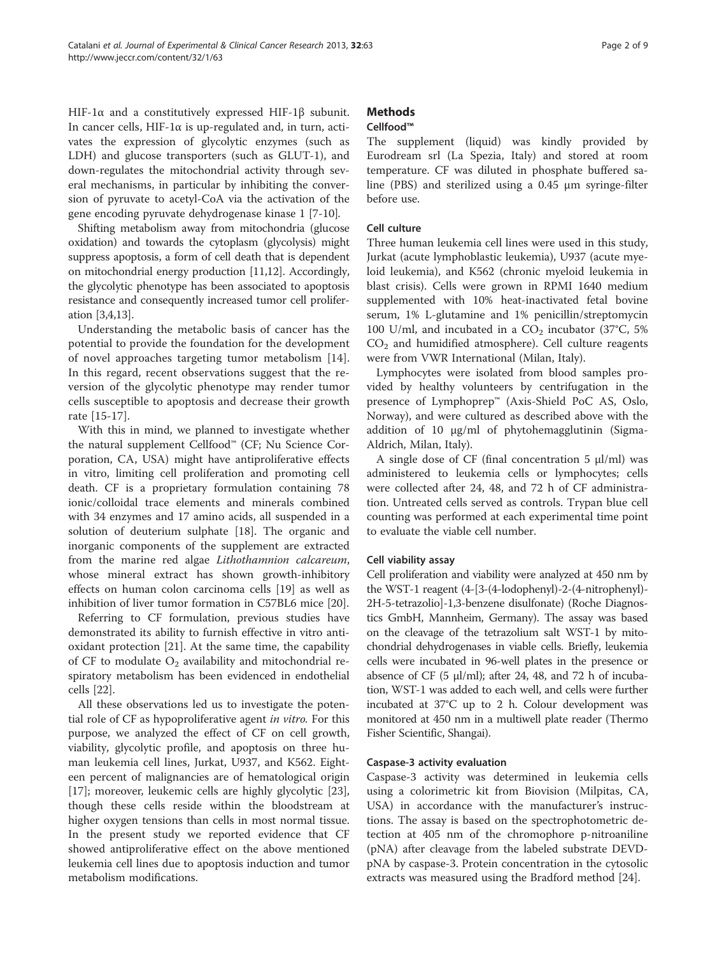HIF-1α and a constitutively expressed HIF-1β subunit. In cancer cells, HIF-1α is up-regulated and, in turn, activates the expression of glycolytic enzymes (such as LDH) and glucose transporters (such as GLUT-1), and down-regulates the mitochondrial activity through several mechanisms, in particular by inhibiting the conversion of pyruvate to acetyl-CoA via the activation of the gene encoding pyruvate dehydrogenase kinase 1 [[7-10](#page-7-0)].

Shifting metabolism away from mitochondria (glucose oxidation) and towards the cytoplasm (glycolysis) might suppress apoptosis, a form of cell death that is dependent on mitochondrial energy production [\[11,12\]](#page-7-0). Accordingly, the glycolytic phenotype has been associated to apoptosis resistance and consequently increased tumor cell proliferation [[3](#page-7-0),[4,13](#page-7-0)].

Understanding the metabolic basis of cancer has the potential to provide the foundation for the development of novel approaches targeting tumor metabolism [\[14](#page-7-0)]. In this regard, recent observations suggest that the reversion of the glycolytic phenotype may render tumor cells susceptible to apoptosis and decrease their growth rate [[15-17\]](#page-7-0).

With this in mind, we planned to investigate whether the natural supplement Cellfood™ (CF; Nu Science Corporation, CA, USA) might have antiproliferative effects in vitro, limiting cell proliferation and promoting cell death. CF is a proprietary formulation containing 78 ionic/colloidal trace elements and minerals combined with 34 enzymes and 17 amino acids, all suspended in a solution of deuterium sulphate [\[18](#page-7-0)]. The organic and inorganic components of the supplement are extracted from the marine red algae Lithothamnion calcareum, whose mineral extract has shown growth-inhibitory effects on human colon carcinoma cells [\[19](#page-7-0)] as well as inhibition of liver tumor formation in C57BL6 mice [[20\]](#page-7-0).

Referring to CF formulation, previous studies have demonstrated its ability to furnish effective in vitro antioxidant protection [[21](#page-7-0)]. At the same time, the capability of CF to modulate  $O_2$  availability and mitochondrial respiratory metabolism has been evidenced in endothelial cells [[22](#page-7-0)].

All these observations led us to investigate the potential role of CF as hypoproliferative agent *in vitro*. For this purpose, we analyzed the effect of CF on cell growth, viability, glycolytic profile, and apoptosis on three human leukemia cell lines, Jurkat, U937, and K562. Eighteen percent of malignancies are of hematological origin [[17\]](#page-7-0); moreover, leukemic cells are highly glycolytic [\[23](#page-7-0)], though these cells reside within the bloodstream at higher oxygen tensions than cells in most normal tissue. In the present study we reported evidence that CF showed antiproliferative effect on the above mentioned leukemia cell lines due to apoptosis induction and tumor metabolism modifications.

# **Methods**

# Cellfood™

The supplement (liquid) was kindly provided by Eurodream srl (La Spezia, Italy) and stored at room temperature. CF was diluted in phosphate buffered saline (PBS) and sterilized using a 0.45 μm syringe-filter before use.

# Cell culture

Three human leukemia cell lines were used in this study, Jurkat (acute lymphoblastic leukemia), U937 (acute myeloid leukemia), and K562 (chronic myeloid leukemia in blast crisis). Cells were grown in RPMI 1640 medium supplemented with 10% heat-inactivated fetal bovine serum, 1% L-glutamine and 1% penicillin/streptomycin 100 U/ml, and incubated in a  $CO<sub>2</sub>$  incubator (37°C, 5%)  $CO<sub>2</sub>$  and humidified atmosphere). Cell culture reagents were from VWR International (Milan, Italy).

Lymphocytes were isolated from blood samples provided by healthy volunteers by centrifugation in the presence of Lymphoprep™ (Axis-Shield PoC AS, Oslo, Norway), and were cultured as described above with the addition of 10 μg/ml of phytohemagglutinin (Sigma-Aldrich, Milan, Italy).

A single dose of CF (final concentration 5 μl/ml) was administered to leukemia cells or lymphocytes; cells were collected after 24, 48, and 72 h of CF administration. Untreated cells served as controls. Trypan blue cell counting was performed at each experimental time point to evaluate the viable cell number.

# Cell viability assay

Cell proliferation and viability were analyzed at 450 nm by the WST-1 reagent (4-[3-(4-lodophenyl)-2-(4-nitrophenyl)- 2H-5-tetrazolio]-1,3-benzene disulfonate) (Roche Diagnostics GmbH, Mannheim, Germany). The assay was based on the cleavage of the tetrazolium salt WST-1 by mitochondrial dehydrogenases in viable cells. Briefly, leukemia cells were incubated in 96-well plates in the presence or absence of CF (5  $\mu$ l/ml); after 24, 48, and 72 h of incubation, WST-1 was added to each well, and cells were further incubated at 37°C up to 2 h. Colour development was monitored at 450 nm in a multiwell plate reader (Thermo Fisher Scientific, Shangai).

## Caspase-3 activity evaluation

Caspase-3 activity was determined in leukemia cells using a colorimetric kit from Biovision (Milpitas, CA, USA) in accordance with the manufacturer's instructions. The assay is based on the spectrophotometric detection at 405 nm of the chromophore p-nitroaniline (pNA) after cleavage from the labeled substrate DEVDpNA by caspase-3. Protein concentration in the cytosolic extracts was measured using the Bradford method [\[24\]](#page-7-0).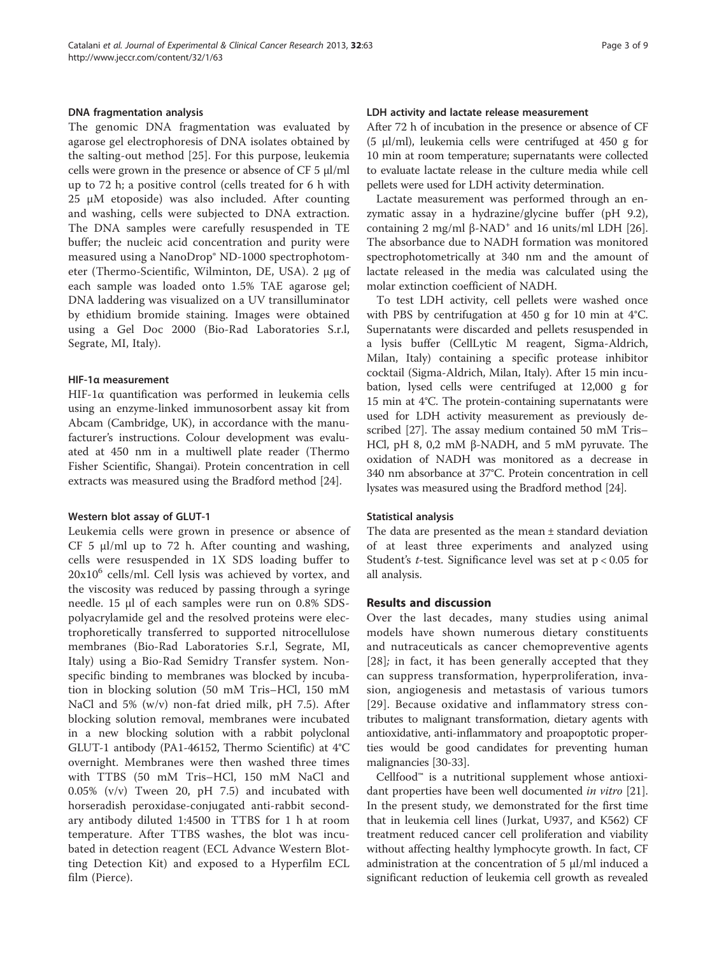#### DNA fragmentation analysis

The genomic DNA fragmentation was evaluated by agarose gel electrophoresis of DNA isolates obtained by the salting-out method [[25\]](#page-7-0). For this purpose, leukemia cells were grown in the presence or absence of CF 5 μl/ml up to 72 h; a positive control (cells treated for 6 h with 25 μM etoposide) was also included. After counting and washing, cells were subjected to DNA extraction. The DNA samples were carefully resuspended in TE buffer; the nucleic acid concentration and purity were measured using a NanoDrop® ND-1000 spectrophotometer (Thermo-Scientific, Wilminton, DE, USA). 2 μg of each sample was loaded onto 1.5% TAE agarose gel; DNA laddering was visualized on a UV transilluminator by ethidium bromide staining. Images were obtained using a Gel Doc 2000 (Bio-Rad Laboratories S.r.l, Segrate, MI, Italy).

#### HIF-1α measurement

HIF-1α quantification was performed in leukemia cells using an enzyme-linked immunosorbent assay kit from Abcam (Cambridge, UK), in accordance with the manufacturer's instructions. Colour development was evaluated at 450 nm in a multiwell plate reader (Thermo Fisher Scientific, Shangai). Protein concentration in cell extracts was measured using the Bradford method [[24\]](#page-7-0).

#### Western blot assay of GLUT-1

Leukemia cells were grown in presence or absence of CF 5 μl/ml up to 72 h. After counting and washing, cells were resuspended in 1X SDS loading buffer to  $20x10^6$  cells/ml. Cell lysis was achieved by vortex, and the viscosity was reduced by passing through a syringe needle. 15 μl of each samples were run on 0.8% SDSpolyacrylamide gel and the resolved proteins were electrophoretically transferred to supported nitrocellulose membranes (Bio-Rad Laboratories S.r.l, Segrate, MI, Italy) using a Bio-Rad Semidry Transfer system. Nonspecific binding to membranes was blocked by incubation in blocking solution (50 mM Tris–HCl, 150 mM NaCl and 5% (w/v) non-fat dried milk, pH 7.5). After blocking solution removal, membranes were incubated in a new blocking solution with a rabbit polyclonal GLUT-1 antibody (PA1-46152, Thermo Scientific) at 4°C overnight. Membranes were then washed three times with TTBS (50 mM Tris–HCl, 150 mM NaCl and 0.05% (v/v) Tween 20, pH 7.5) and incubated with horseradish peroxidase-conjugated anti-rabbit secondary antibody diluted 1:4500 in TTBS for 1 h at room temperature. After TTBS washes, the blot was incubated in detection reagent (ECL Advance Western Blotting Detection Kit) and exposed to a Hyperfilm ECL film (Pierce).

#### LDH activity and lactate release measurement

After 72 h of incubation in the presence or absence of CF (5 μl/ml), leukemia cells were centrifuged at 450 g for 10 min at room temperature; supernatants were collected to evaluate lactate release in the culture media while cell pellets were used for LDH activity determination.

Lactate measurement was performed through an enzymatic assay in a hydrazine/glycine buffer (pH 9.2), containing 2 mg/ml  $\beta$ -NAD<sup>+</sup> and 16 units/ml LDH [\[26](#page-7-0)]. The absorbance due to NADH formation was monitored spectrophotometrically at 340 nm and the amount of lactate released in the media was calculated using the molar extinction coefficient of NADH.

To test LDH activity, cell pellets were washed once with PBS by centrifugation at 450 g for 10 min at 4°C. Supernatants were discarded and pellets resuspended in a lysis buffer (CellLytic M reagent, Sigma-Aldrich, Milan, Italy) containing a specific protease inhibitor cocktail (Sigma-Aldrich, Milan, Italy). After 15 min incubation, lysed cells were centrifuged at 12,000 g for 15 min at 4°C. The protein-containing supernatants were used for LDH activity measurement as previously described [\[27\]](#page-7-0). The assay medium contained 50 mM Tris– HCl, pH 8, 0,2 mM β-NADH, and 5 mM pyruvate. The oxidation of NADH was monitored as a decrease in 340 nm absorbance at 37°C. Protein concentration in cell lysates was measured using the Bradford method [[24\]](#page-7-0).

#### Statistical analysis

The data are presented as the mean ± standard deviation of at least three experiments and analyzed using Student's t-test. Significance level was set at p < 0.05 for all analysis.

### Results and discussion

Over the last decades, many studies using animal models have shown numerous dietary constituents and nutraceuticals as cancer chemopreventive agents [[28](#page-7-0)]; in fact, it has been generally accepted that they can suppress transformation, hyperproliferation, invasion, angiogenesis and metastasis of various tumors [[29](#page-7-0)]. Because oxidative and inflammatory stress contributes to malignant transformation, dietary agents with antioxidative, anti-inflammatory and proapoptotic properties would be good candidates for preventing human malignancies [\[30-33\]](#page-7-0).

Cellfood™ is a nutritional supplement whose antioxidant properties have been well documented *in vitro* [\[21](#page-7-0)]. In the present study, we demonstrated for the first time that in leukemia cell lines (Jurkat, U937, and K562) CF treatment reduced cancer cell proliferation and viability without affecting healthy lymphocyte growth. In fact, CF administration at the concentration of 5 μl/ml induced a significant reduction of leukemia cell growth as revealed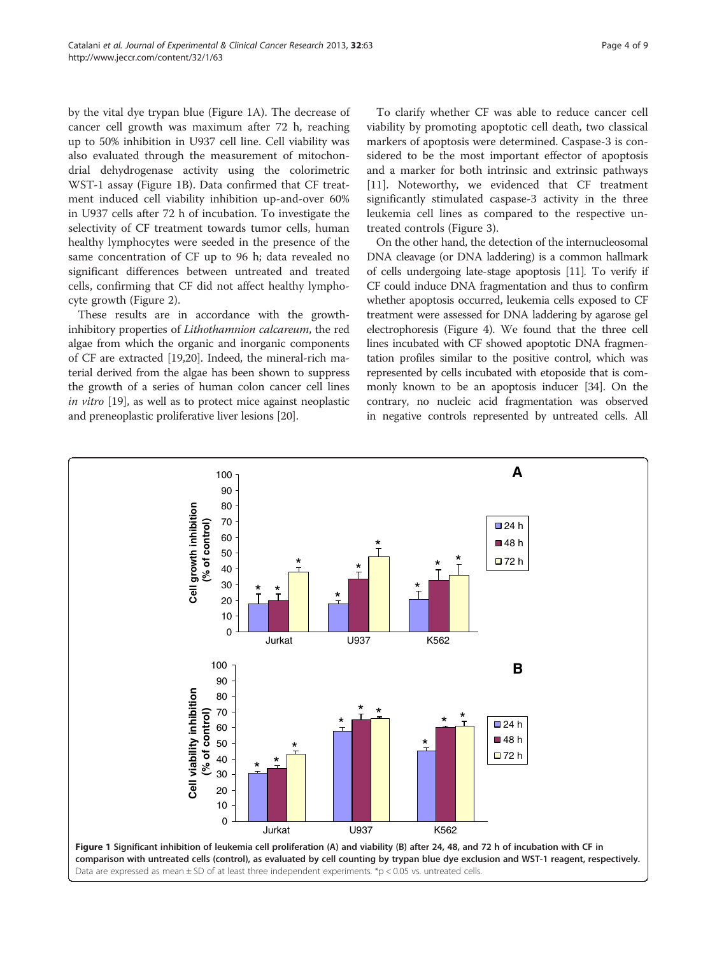by the vital dye trypan blue (Figure 1A). The decrease of cancer cell growth was maximum after 72 h, reaching up to 50% inhibition in U937 cell line. Cell viability was also evaluated through the measurement of mitochondrial dehydrogenase activity using the colorimetric WST-1 assay (Figure 1B). Data confirmed that CF treatment induced cell viability inhibition up-and-over 60% in U937 cells after 72 h of incubation. To investigate the selectivity of CF treatment towards tumor cells, human healthy lymphocytes were seeded in the presence of the same concentration of CF up to 96 h; data revealed no significant differences between untreated and treated cells, confirming that CF did not affect healthy lymphocyte growth (Figure [2\)](#page-4-0).

These results are in accordance with the growthinhibitory properties of Lithothamnion calcareum, the red algae from which the organic and inorganic components of CF are extracted [\[19,20\]](#page-7-0). Indeed, the mineral-rich material derived from the algae has been shown to suppress the growth of a series of human colon cancer cell lines in vitro [[19](#page-7-0)], as well as to protect mice against neoplastic and preneoplastic proliferative liver lesions [\[20\]](#page-7-0).

To clarify whether CF was able to reduce cancer cell viability by promoting apoptotic cell death, two classical markers of apoptosis were determined. Caspase-3 is considered to be the most important effector of apoptosis and a marker for both intrinsic and extrinsic pathways [[11\]](#page-7-0). Noteworthy, we evidenced that CF treatment significantly stimulated caspase-3 activity in the three leukemia cell lines as compared to the respective untreated controls (Figure [3](#page-4-0)).

On the other hand, the detection of the internucleosomal DNA cleavage (or DNA laddering) is a common hallmark of cells undergoing late-stage apoptosis [\[11\]](#page-7-0). To verify if CF could induce DNA fragmentation and thus to confirm whether apoptosis occurred, leukemia cells exposed to CF treatment were assessed for DNA laddering by agarose gel electrophoresis (Figure [4](#page-5-0)). We found that the three cell lines incubated with CF showed apoptotic DNA fragmentation profiles similar to the positive control, which was represented by cells incubated with etoposide that is commonly known to be an apoptosis inducer [[34](#page-7-0)]. On the contrary, no nucleic acid fragmentation was observed in negative controls represented by untreated cells. All

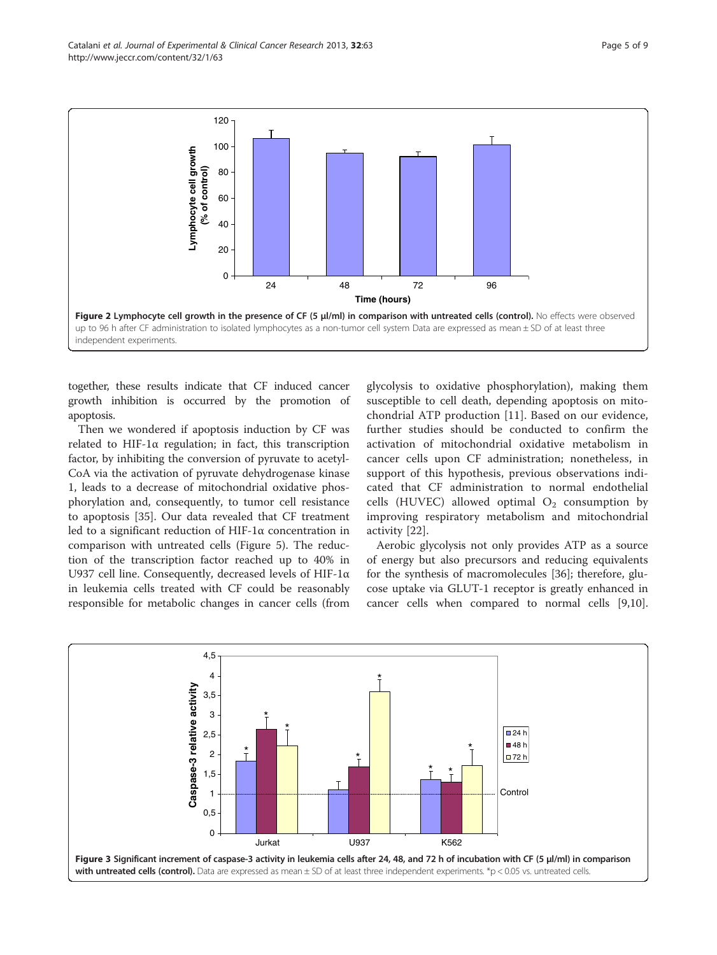<span id="page-4-0"></span>

together, these results indicate that CF induced cancer growth inhibition is occurred by the promotion of apoptosis.

Then we wondered if apoptosis induction by CF was related to HIF-1 $\alpha$  regulation; in fact, this transcription factor, by inhibiting the conversion of pyruvate to acetyl-CoA via the activation of pyruvate dehydrogenase kinase 1, leads to a decrease of mitochondrial oxidative phosphorylation and, consequently, to tumor cell resistance to apoptosis [[35\]](#page-7-0). Our data revealed that CF treatment led to a significant reduction of HIF-1α concentration in comparison with untreated cells (Figure [5](#page-5-0)). The reduction of the transcription factor reached up to 40% in U937 cell line. Consequently, decreased levels of HIF-1α in leukemia cells treated with CF could be reasonably responsible for metabolic changes in cancer cells (from

glycolysis to oxidative phosphorylation), making them susceptible to cell death, depending apoptosis on mitochondrial ATP production [\[11](#page-7-0)]. Based on our evidence, further studies should be conducted to confirm the activation of mitochondrial oxidative metabolism in cancer cells upon CF administration; nonetheless, in support of this hypothesis, previous observations indicated that CF administration to normal endothelial cells (HUVEC) allowed optimal  $O_2$  consumption by improving respiratory metabolism and mitochondrial activity [[22\]](#page-7-0).

Aerobic glycolysis not only provides ATP as a source of energy but also precursors and reducing equivalents for the synthesis of macromolecules [\[36\]](#page-7-0); therefore, glucose uptake via GLUT-1 receptor is greatly enhanced in cancer cells when compared to normal cells [\[9,10](#page-7-0)].

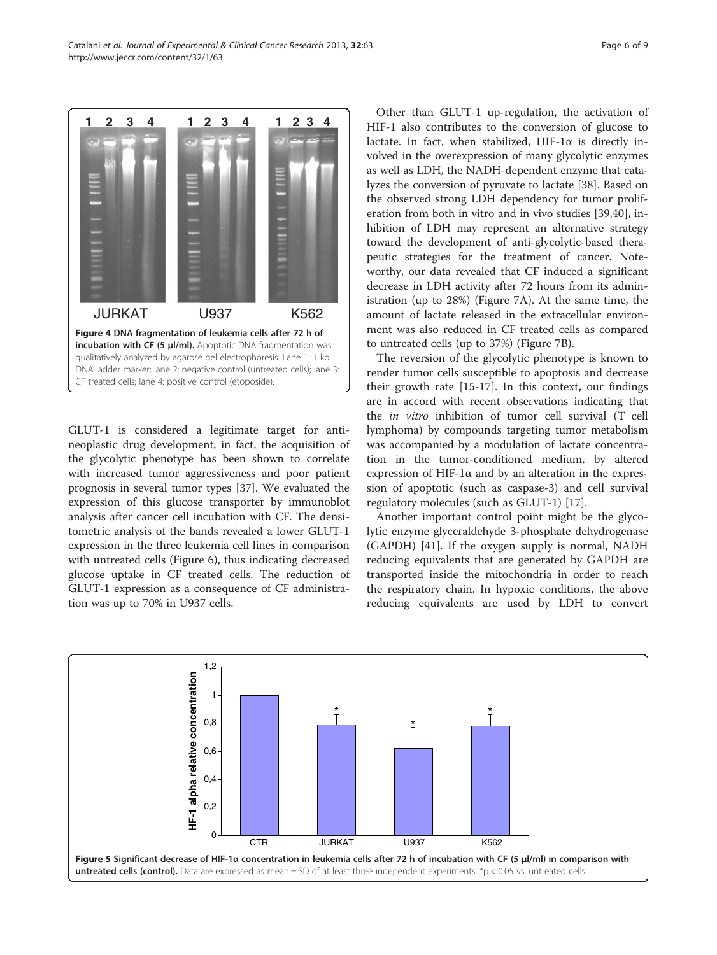<span id="page-5-0"></span>

GLUT-1 is considered a legitimate target for antineoplastic drug development; in fact, the acquisition of the glycolytic phenotype has been shown to correlate with increased tumor aggressiveness and poor patient prognosis in several tumor types [\[37\]](#page-7-0). We evaluated the expression of this glucose transporter by immunoblot analysis after cancer cell incubation with CF. The densitometric analysis of the bands revealed a lower GLUT-1 expression in the three leukemia cell lines in comparison with untreated cells (Figure [6\)](#page-6-0), thus indicating decreased glucose uptake in CF treated cells. The reduction of GLUT-1 expression as a consequence of CF administration was up to 70% in U937 cells.

Other than GLUT-1 up-regulation, the activation of HIF-1 also contributes to the conversion of glucose to lactate. In fact, when stabilized, HIF-1 $\alpha$  is directly involved in the overexpression of many glycolytic enzymes as well as LDH, the NADH-dependent enzyme that catalyzes the conversion of pyruvate to lactate [\[38\]](#page-7-0). Based on the observed strong LDH dependency for tumor proliferation from both in vitro and in vivo studies [[39,](#page-7-0)[40\]](#page-8-0), inhibition of LDH may represent an alternative strategy toward the development of anti-glycolytic-based therapeutic strategies for the treatment of cancer. Noteworthy, our data revealed that CF induced a significant decrease in LDH activity after 72 hours from its administration (up to 28%) (Figure [7A](#page-6-0)). At the same time, the amount of lactate released in the extracellular environment was also reduced in CF treated cells as compared to untreated cells (up to 37%) (Figure [7](#page-6-0)B).

The reversion of the glycolytic phenotype is known to render tumor cells susceptible to apoptosis and decrease their growth rate [[15-17](#page-7-0)]. In this context, our findings are in accord with recent observations indicating that the in vitro inhibition of tumor cell survival (T cell lymphoma) by compounds targeting tumor metabolism was accompanied by a modulation of lactate concentration in the tumor-conditioned medium, by altered expression of HIF-1 $\alpha$  and by an alteration in the expression of apoptotic (such as caspase-3) and cell survival regulatory molecules (such as GLUT-1) [[17\]](#page-7-0).

Another important control point might be the glycolytic enzyme glyceraldehyde 3-phosphate dehydrogenase (GAPDH) [[41\]](#page-8-0). If the oxygen supply is normal, NADH reducing equivalents that are generated by GAPDH are transported inside the mitochondria in order to reach the respiratory chain. In hypoxic conditions, the above reducing equivalents are used by LDH to convert

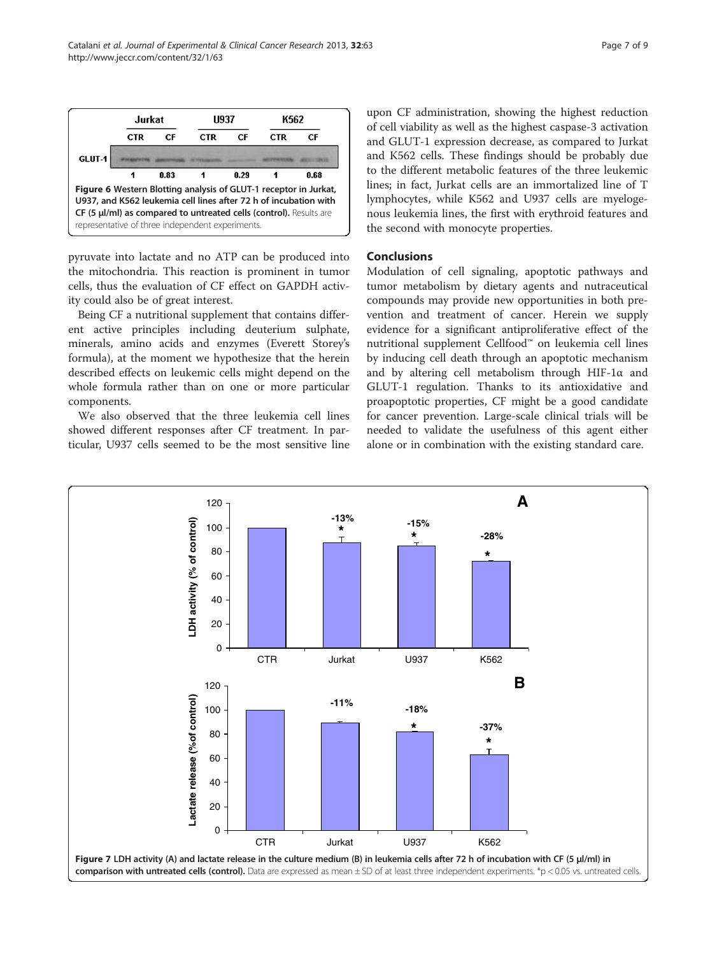<span id="page-6-0"></span>

pyruvate into lactate and no ATP can be produced into the mitochondria. This reaction is prominent in tumor cells, thus the evaluation of CF effect on GAPDH activity could also be of great interest.

Being CF a nutritional supplement that contains different active principles including deuterium sulphate, minerals, amino acids and enzymes (Everett Storey's formula), at the moment we hypothesize that the herein described effects on leukemic cells might depend on the whole formula rather than on one or more particular components.

We also observed that the three leukemia cell lines showed different responses after CF treatment. In particular, U937 cells seemed to be the most sensitive line

upon CF administration, showing the highest reduction of cell viability as well as the highest caspase-3 activation and GLUT-1 expression decrease, as compared to Jurkat and K562 cells. These findings should be probably due to the different metabolic features of the three leukemic lines; in fact, Jurkat cells are an immortalized line of T lymphocytes, while K562 and U937 cells are myelogenous leukemia lines, the first with erythroid features and the second with monocyte properties.

# Conclusions

Modulation of cell signaling, apoptotic pathways and tumor metabolism by dietary agents and nutraceutical compounds may provide new opportunities in both prevention and treatment of cancer. Herein we supply evidence for a significant antiproliferative effect of the nutritional supplement Cellfood™ on leukemia cell lines by inducing cell death through an apoptotic mechanism and by altering cell metabolism through HIF-1α and GLUT-1 regulation. Thanks to its antioxidative and proapoptotic properties, CF might be a good candidate for cancer prevention. Large-scale clinical trials will be needed to validate the usefulness of this agent either alone or in combination with the existing standard care.

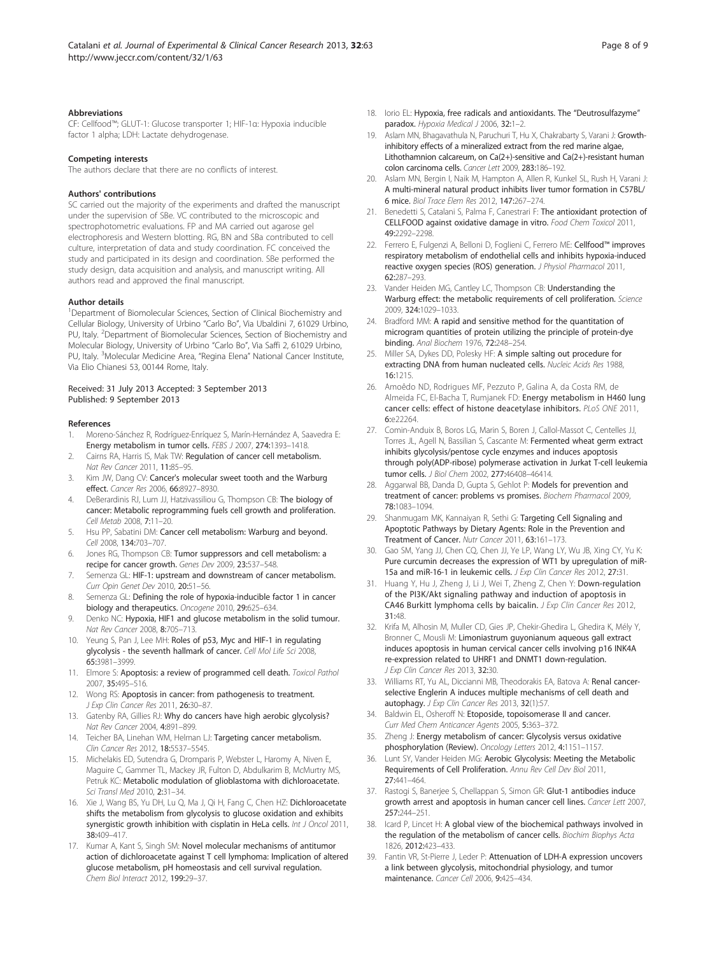#### <span id="page-7-0"></span>Abbreviations

CF: Cellfood™; GLUT-1: Glucose transporter 1; HIF-1α: Hypoxia inducible factor 1 alpha; LDH: Lactate dehydrogenase.

#### Competing interests

The authors declare that there are no conflicts of interest.

#### Authors' contributions

SC carried out the majority of the experiments and drafted the manuscript under the supervision of SBe. VC contributed to the microscopic and spectrophotometric evaluations. FP and MA carried out agarose gel electrophoresis and Western blotting. RG, BN and SBa contributed to cell culture, interpretation of data and study coordination. FC conceived the study and participated in its design and coordination. SBe performed the study design, data acquisition and analysis, and manuscript writing. All authors read and approved the final manuscript.

#### Author details

<sup>1</sup>Department of Biomolecular Sciences, Section of Clinical Biochemistry and Cellular Biology, University of Urbino "Carlo Bo", Via Ubaldini 7, 61029 Urbino, PU, Italy. <sup>2</sup>Department of Biomolecular Sciences, Section of Biochemistry and Molecular Biology, University of Urbino "Carlo Bo", Via Saffi 2, 61029 Urbino, PU, Italy. <sup>3</sup>Molecular Medicine Area, "Regina Elena" National Cancer Institute, Via Elio Chianesi 53, 00144 Rome, Italy.

#### Received: 31 July 2013 Accepted: 3 September 2013 Published: 9 September 2013

#### References

- 1. Moreno-Sánchez R, Rodríguez-Enríquez S, Marín-Hernández A, Saavedra E: Energy metabolism in tumor cells. FEBS J 2007, 274:1393–1418.
- 2. Cairns RA, Harris IS, Mak TW: Regulation of cancer cell metabolism. Nat Rev Cancer 2011, 11:85–95.
- Kim JW, Dang CV: Cancer's molecular sweet tooth and the Warburg effect. Cancer Res 2006, 66:8927–8930.
- 4. DeBerardinis RJ, Lum JJ, Hatzivassiliou G, Thompson CB: The biology of cancer: Metabolic reprogramming fuels cell growth and proliferation. Cell Metab 2008, 7:11–20.
- Hsu PP, Sabatini DM: Cancer cell metabolism: Warburg and beyond. Cell 2008, 134:703–707.
- Jones RG, Thompson CB: Tumor suppressors and cell metabolism: a recipe for cancer growth. Genes Dev 2009, 23:537–548.
- 7. Semenza GL: HIF-1: upstream and downstream of cancer metabolism. Curr Opin Genet Dev 2010, 20:51–56.
- 8. Semenza GL: Defining the role of hypoxia-inducible factor 1 in cancer biology and therapeutics. Oncogene 2010, 29:625–634.
- 9. Denko NC: Hypoxia, HIF1 and glucose metabolism in the solid tumour. Nat Rev Cancer 2008, 8:705–713.
- 10. Yeung S, Pan J, Lee MH: Roles of p53, Myc and HIF-1 in regulating glycolysis - the seventh hallmark of cancer. Cell Mol Life Sci 2008, 65:3981–3999.
- 11. Elmore S: Apoptosis: a review of programmed cell death. Toxicol Pathol 2007, 35:495–516.
- 12. Wong RS: Apoptosis in cancer: from pathogenesis to treatment. J Exp Clin Cancer Res 2011, 26:30–87.
- 13. Gatenby RA, Gillies RJ: Why do cancers have high aerobic glycolysis? Nat Rev Cancer 2004, 4:891–899.
- 14. Teicher BA, Linehan WM, Helman LJ: Targeting cancer metabolism. Clin Cancer Res 2012, 18:5537–5545.
- 15. Michelakis ED, Sutendra G, Dromparis P, Webster L, Haromy A, Niven E, Maguire C, Gammer TL, Mackey JR, Fulton D, Abdulkarim B, McMurtry MS, Petruk KC: Metabolic modulation of glioblastoma with dichloroacetate. Sci Transl Med 2010, 2:31–34.
- 16. Xie J, Wang BS, Yu DH, Lu Q, Ma J, Qi H, Fang C, Chen HZ: Dichloroacetate shifts the metabolism from glycolysis to glucose oxidation and exhibits synergistic growth inhibition with cisplatin in HeLa cells. Int J Oncol 2011, 38:409–417.
- 17. Kumar A, Kant S, Singh SM: Novel molecular mechanisms of antitumor action of dichloroacetate against T cell lymphoma: Implication of altered glucose metabolism, pH homeostasis and cell survival regulation. Chem Biol Interact 2012, 199:29–37.
- 18. Iorio EL: Hypoxia, free radicals and antioxidants. The "Deutrosulfazyme" paradox. Hypoxia Medical J 2006, 32:1–2.
- 19. Aslam MN, Bhagavathula N, Paruchuri T, Hu X, Chakrabarty S, Varani J: Growthinhibitory effects of a mineralized extract from the red marine algae, Lithothamnion calcareum, on Ca(2+)-sensitive and Ca(2+)-resistant human colon carcinoma cells. Cancer Lett 2009, 283:186–192.
- 20. Aslam MN, Bergin I, Naik M, Hampton A, Allen R, Kunkel SL, Rush H, Varani J: A multi-mineral natural product inhibits liver tumor formation in C57BL/ 6 mice. Biol Trace Elem Res 2012, 147:267–274.
- 21. Benedetti S, Catalani S, Palma F, Canestrari F: The antioxidant protection of CELLFOOD against oxidative damage in vitro. Food Chem Toxicol 2011, 49:2292–2298.
- 22. Ferrero E, Fulgenzi A, Belloni D, Foglieni C, Ferrero ME: Cellfood™ improves respiratory metabolism of endothelial cells and inhibits hypoxia-induced reactive oxygen species (ROS) generation. J Physiol Pharmacol 2011, 62:287–293.
- 23. Vander Heiden MG, Cantley LC, Thompson CB: Understanding the Warburg effect: the metabolic requirements of cell proliferation. Science 2009, 324:1029–1033.
- 24. Bradford MM: A rapid and sensitive method for the quantitation of microgram quantities of protein utilizing the principle of protein-dye binding. Anal Biochem 1976, 72:248–254.
- 25. Miller SA, Dykes DD, Polesky HF: A simple salting out procedure for extracting DNA from human nucleated cells. Nucleic Acids Res 1988, 16:1215.
- 26. Amoêdo ND, Rodrigues MF, Pezzuto P, Galina A, da Costa RM, de Almeida FC, El-Bacha T, Rumjanek FD: Energy metabolism in H460 lung cancer cells: effect of histone deacetylase inhibitors. PLoS ONE 2011, 6:e22264.
- 27. Comin-Anduix B, Boros LG, Marin S, Boren J, Callol-Massot C, Centelles JJ, Torres JL, Agell N, Bassilian S, Cascante M: Fermented wheat germ extract inhibits glycolysis/pentose cycle enzymes and induces apoptosis through poly(ADP-ribose) polymerase activation in Jurkat T-cell leukemia tumor cells. J Biol Chem 2002, 277:46408–46414.
- 28. Aggarwal BB, Danda D, Gupta S, Gehlot P: Models for prevention and treatment of cancer: problems vs promises. Biochem Pharmacol 2009, 78:1083–1094.
- 29. Shanmugam MK, Kannaiyan R, Sethi G: Targeting Cell Signaling and Apoptotic Pathways by Dietary Agents: Role in the Prevention and Treatment of Cancer. Nutr Cancer 2011, 63:161–173.
- 30. Gao SM, Yang JJ, Chen CQ, Chen JJ, Ye LP, Wang LY, Wu JB, Xing CY, Yu K: Pure curcumin decreases the expression of WT1 by upregulation of miR-15a and miR-16-1 in leukemic cells. J Exp Clin Cancer Res 2012, 27:31.
- 31. Huang Y, Hu J, Zheng J, Li J, Wei T, Zheng Z, Chen Y: Down-regulation of the PI3K/Akt signaling pathway and induction of apoptosis in CA46 Burkitt lymphoma cells by baicalin. J Exp Clin Cancer Res 2012, 31:48.
- 32. Krifa M, Alhosin M, Muller CD, Gies JP, Chekir-Ghedira L, Ghedira K, Mély Y, Bronner C, Mousli M: Limoniastrum guyonianum aqueous gall extract induces apoptosis in human cervical cancer cells involving p16 INK4A re-expression related to UHRF1 and DNMT1 down-regulation. J Exp Clin Cancer Res 2013, 32:30.
- 33. Williams RT, Yu AL, Diccianni MB, Theodorakis EA, Batova A: Renal cancerselective Englerin A induces multiple mechanisms of cell death and autophagy. J Exp Clin Cancer Res 2013, 32(1):57.
- 34. Baldwin EL, Osheroff N: Etoposide, topoisomerase II and cancer. Curr Med Chem Anticancer Agents 2005, 5:363–372.
- 35. Zheng J: Energy metabolism of cancer: Glycolysis versus oxidative phosphorylation (Review). Oncology Letters 2012, 4:1151-1157
- 36. Lunt SY, Vander Heiden MG: Aerobic Glycolysis: Meeting the Metabolic Requirements of Cell Proliferation. Annu Rev Cell Dev Biol 2011, 27:441–464.
- 37. Rastogi S, Banerjee S, Chellappan S, Simon GR: Glut-1 antibodies induce growth arrest and apoptosis in human cancer cell lines. Cancer Lett 2007, 257:244–251.
- 38. Icard P, Lincet H: A global view of the biochemical pathways involved in the regulation of the metabolism of cancer cells. Biochim Biophys Acta 1826, 2012:423–433.
- 39. Fantin VR, St-Pierre J, Leder P: Attenuation of LDH-A expression uncovers a link between glycolysis, mitochondrial physiology, and tumor maintenance. Cancer Cell 2006, 9:425–434.